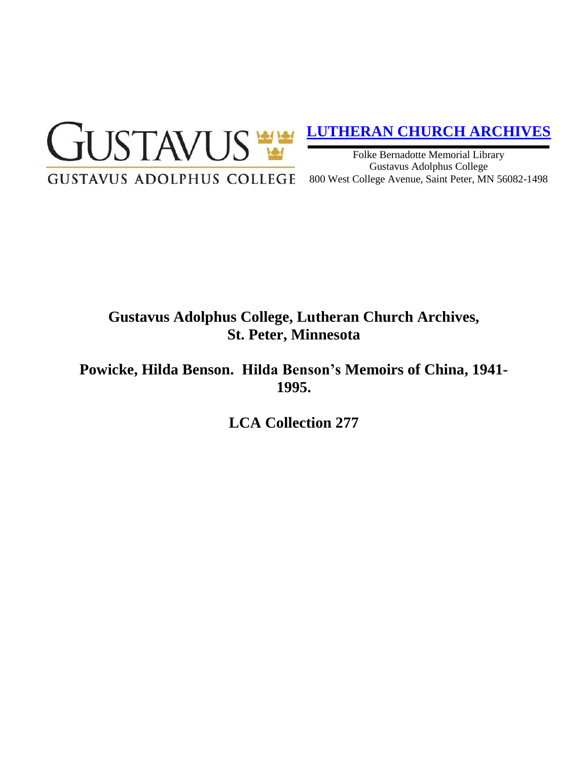

# **[LUTHERAN CHURCH ARCHIVES](http://gustavus.edu/academics/library/archives/)**

Folke Bernadotte Memorial Library Gustavus Adolphus College 800 West College Avenue, Saint Peter, MN 56082-1498

## **Gustavus Adolphus College, Lutheran Church Archives, St. Peter, Minnesota**

**Powicke, Hilda Benson. Hilda Benson's Memoirs of China, 1941- 1995.**

**LCA Collection 277**